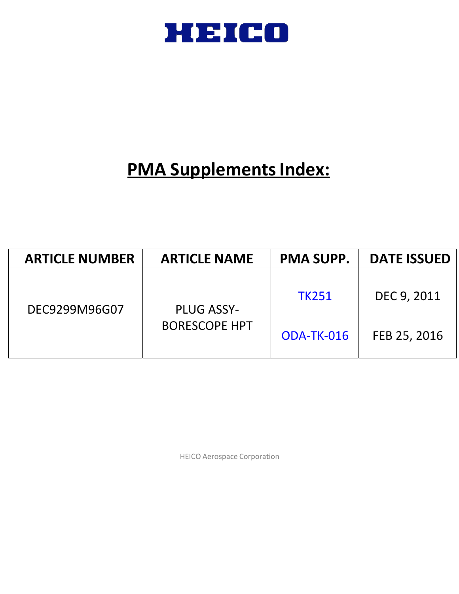

# **PMA Supplements Index:**

| <b>ARTICLE NUMBER</b> | <b>ARTICLE NAME</b>  | <b>PMA SUPP.</b> | <b>DATE ISSUED</b> |
|-----------------------|----------------------|------------------|--------------------|
| DEC9299M96G07         | <b>PLUG ASSY-</b>    | <b>TK251</b>     | DEC 9, 2011        |
|                       | <b>BORESCOPE HPT</b> | ODA-TK-016       | FEB 25, 2016       |

HEICO Aerospace Corporation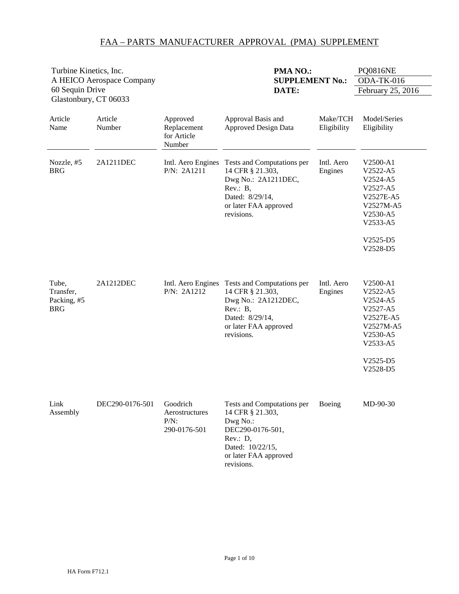| Turbine Kinetics, Inc.<br>A HEICO Aerospace Company<br>60 Sequin Drive<br>Glastonbury, CT 06033 |                   |                                                       | PMA NO.:<br><b>SUPPLEMENT No.:</b><br>DATE:                                                                                                           |                         | <b>PQ0816NE</b><br>ODA-TK-016<br>February 25, 2016                                                                     |  |
|-------------------------------------------------------------------------------------------------|-------------------|-------------------------------------------------------|-------------------------------------------------------------------------------------------------------------------------------------------------------|-------------------------|------------------------------------------------------------------------------------------------------------------------|--|
| Article<br>Name                                                                                 | Article<br>Number | Approved<br>Replacement<br>for Article<br>Number      | Approval Basis and<br><b>Approved Design Data</b>                                                                                                     | Make/TCH<br>Eligibility | Model/Series<br>Eligibility                                                                                            |  |
| Nozzle, #5<br><b>BRG</b>                                                                        | 2A1211DEC         | Intl. Aero Engines<br>P/N: 2A1211                     | Tests and Computations per<br>14 CFR § 21.303,<br>Dwg No.: 2A1211DEC,<br>Rev.: B,<br>Dated: 8/29/14,<br>or later FAA approved<br>revisions.           | Intl. Aero<br>Engines   | V2500-A1<br>V2522-A5<br>V2524-A5<br>V2527-A5<br>V2527E-A5<br>V2527M-A5<br>V2530-A5<br>V2533-A5<br>V2525-D5<br>V2528-D5 |  |
| Tube,<br>Transfer,<br>Packing, #5<br><b>BRG</b>                                                 | 2A1212DEC         | Intl. Aero Engines<br>P/N: 2A1212                     | Tests and Computations per<br>14 CFR § 21.303,<br>Dwg No.: 2A1212DEC,<br>Rev.: B,<br>Dated: 8/29/14,<br>or later FAA approved<br>revisions.           | Intl. Aero<br>Engines   | V2500-A1<br>V2522-A5<br>V2524-A5<br>V2527-A5<br>V2527E-A5<br>V2527M-A5<br>V2530-A5<br>V2533-A5<br>V2525-D5<br>V2528-D5 |  |
| Link<br>Assembly                                                                                | DEC290-0176-501   | Goodrich<br>Aerostructures<br>$P/N$ :<br>290-0176-501 | Tests and Computations per<br>14 CFR § 21.303,<br>Dwg No.:<br>DEC290-0176-501,<br>Rev.: D,<br>Dated: 10/22/15,<br>or later FAA approved<br>revisions. | Boeing                  | MD-90-30                                                                                                               |  |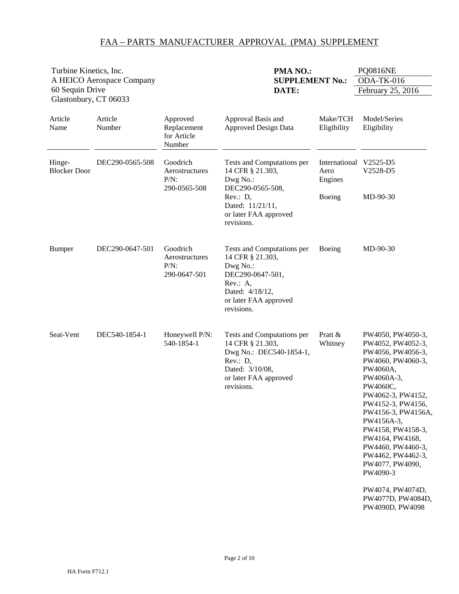| Turbine Kinetics, Inc.                   |                           |                                                       | <b>PMA NO.:</b>                                                                                                                                      |                                  | <b>PQ0816NE</b>                                                                                                                                                                                                                                                                                                                                                                   |  |
|------------------------------------------|---------------------------|-------------------------------------------------------|------------------------------------------------------------------------------------------------------------------------------------------------------|----------------------------------|-----------------------------------------------------------------------------------------------------------------------------------------------------------------------------------------------------------------------------------------------------------------------------------------------------------------------------------------------------------------------------------|--|
|                                          | A HEICO Aerospace Company |                                                       | <b>SUPPLEMENT No.:</b>                                                                                                                               |                                  | ODA-TK-016                                                                                                                                                                                                                                                                                                                                                                        |  |
| 60 Sequin Drive<br>Glastonbury, CT 06033 |                           |                                                       | DATE:                                                                                                                                                |                                  | February 25, 2016                                                                                                                                                                                                                                                                                                                                                                 |  |
| Article<br>Name                          | Article<br>Number         | Approved<br>Replacement<br>for Article<br>Number      | Approval Basis and<br><b>Approved Design Data</b>                                                                                                    | Make/TCH<br>Eligibility          | Model/Series<br>Eligibility                                                                                                                                                                                                                                                                                                                                                       |  |
| Hinge-<br><b>Blocker Door</b>            | DEC290-0565-508           | Goodrich<br>Aerostructures<br>$P/N$ :<br>290-0565-508 | Tests and Computations per<br>14 CFR § 21.303,<br>Dwg No.:<br>DEC290-0565-508,                                                                       | International<br>Aero<br>Engines | V2525-D5<br>V2528-D5                                                                                                                                                                                                                                                                                                                                                              |  |
|                                          |                           |                                                       | Rev.: D,<br>Dated: 11/21/11,<br>or later FAA approved<br>revisions.                                                                                  | Boeing                           | MD-90-30                                                                                                                                                                                                                                                                                                                                                                          |  |
| <b>Bumper</b>                            | DEC290-0647-501           | Goodrich<br>Aerostructures<br>$P/N$ :<br>290-0647-501 | Tests and Computations per<br>14 CFR § 21.303,<br>Dwg No.:<br>DEC290-0647-501,<br>Rev.: A,<br>Dated: 4/18/12,<br>or later FAA approved<br>revisions. | Boeing                           | MD-90-30                                                                                                                                                                                                                                                                                                                                                                          |  |
| Seat-Vent                                | DEC540-1854-1             | Honeywell P/N:<br>540-1854-1                          | Tests and Computations per<br>14 CFR § 21.303,<br>Dwg No.: DEC540-1854-1,<br>Rev.: D,<br>Dated: 3/10/08,<br>or later FAA approved<br>revisions.      | Pratt &<br>Whitney               | PW4050, PW4050-3,<br>PW4052, PW4052-3,<br>PW4056, PW4056-3,<br>PW4060, PW4060-3,<br>PW4060A,<br>PW4060A-3,<br>PW4060C,<br>PW4062-3, PW4152,<br>PW4152-3, PW4156,<br>PW4156-3, PW4156A,<br>PW4156A-3,<br>PW4158, PW4158-3,<br>PW4164, PW4168,<br>PW4460, PW4460-3,<br>PW4462, PW4462-3,<br>PW4077, PW4090,<br>PW4090-3<br>PW4074, PW4074D,<br>PW4077D, PW4084D,<br>PW4090D, PW4098 |  |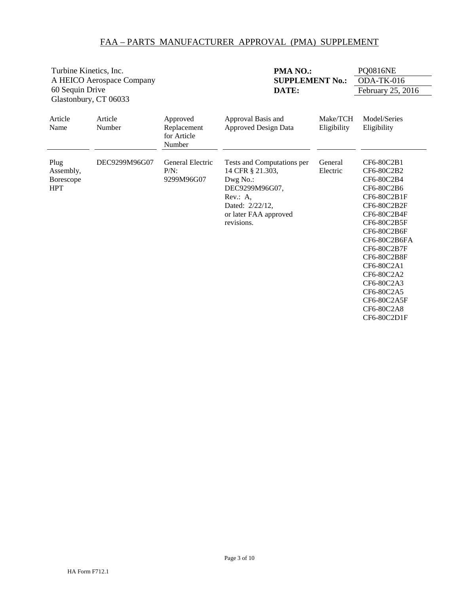<span id="page-3-0"></span>

| Turbine Kinetics, Inc.                              |                           |                                                  | PMA <sub>NO</sub> .:                                                                                                                               |                         | <b>PQ0816NE</b>                                                                                                                                                                                                                                                    |
|-----------------------------------------------------|---------------------------|--------------------------------------------------|----------------------------------------------------------------------------------------------------------------------------------------------------|-------------------------|--------------------------------------------------------------------------------------------------------------------------------------------------------------------------------------------------------------------------------------------------------------------|
|                                                     | A HEICO Aerospace Company |                                                  | <b>SUPPLEMENT No.:</b>                                                                                                                             |                         | ODA-TK-016                                                                                                                                                                                                                                                         |
| 60 Sequin Drive                                     |                           |                                                  | DATE:                                                                                                                                              |                         | February 25, 2016                                                                                                                                                                                                                                                  |
| Glastonbury, CT 06033                               |                           |                                                  |                                                                                                                                                    |                         |                                                                                                                                                                                                                                                                    |
| Article<br>Name                                     | Article<br>Number         | Approved<br>Replacement<br>for Article<br>Number | Approval Basis and<br><b>Approved Design Data</b>                                                                                                  | Make/TCH<br>Eligibility | Model/Series<br>Eligibility                                                                                                                                                                                                                                        |
| Plug<br>Assembly,<br><b>Borescope</b><br><b>HPT</b> | DEC9299M96G07             | General Electric<br>$P/N$ :<br>9299M96G07        | Tests and Computations per<br>14 CFR § 21.303,<br>Dwg No.:<br>DEC9299M96G07,<br>Rev.: A,<br>Dated: 2/22/12,<br>or later FAA approved<br>revisions. | General<br>Electric     | CF6-80C2B1<br>CF6-80C2B2<br>CF6-80C2B4<br>CF6-80C2B6<br>CF6-80C2B1F<br>CF6-80C2B2F<br>CF6-80C2B4F<br>CF6-80C2B5F<br>CF6-80C2B6F<br>CF6-80C2B6FA<br>CF6-80C2B7F<br>CF6-80C2B8F<br>CF6-80C2A1<br>CF6-80C2A2<br>CF6-80C2A3<br>CF6-80C2A5<br>CF6-80C2A5F<br>CF6-80C2A8 |
|                                                     |                           |                                                  |                                                                                                                                                    |                         | CF6-80C2D1F                                                                                                                                                                                                                                                        |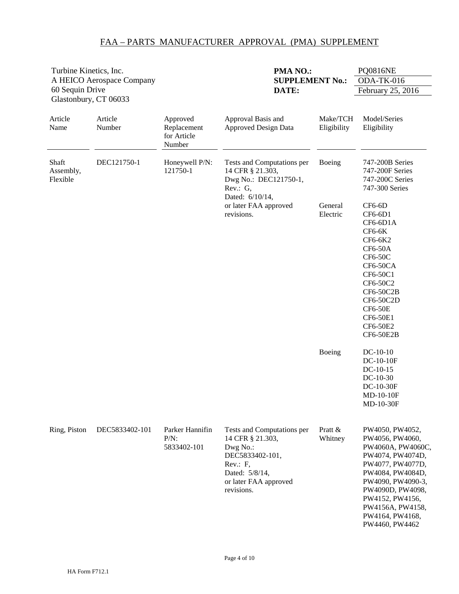| Turbine Kinetics, Inc.<br>A HEICO Aerospace Company<br>60 Sequin Drive<br>Glastonbury, CT 06033 |                   |                                                  | PMA NO.:<br><b>SUPPLEMENT No.:</b><br>DATE:                                                                                                        |                         | <b>PQ0816NE</b><br>ODA-TK-016<br>February 25, 2016                                                                                                                                                                                       |  |
|-------------------------------------------------------------------------------------------------|-------------------|--------------------------------------------------|----------------------------------------------------------------------------------------------------------------------------------------------------|-------------------------|------------------------------------------------------------------------------------------------------------------------------------------------------------------------------------------------------------------------------------------|--|
| Article<br>Name                                                                                 | Article<br>Number | Approved<br>Replacement<br>for Article<br>Number | Approval Basis and<br><b>Approved Design Data</b>                                                                                                  | Make/TCH<br>Eligibility | Model/Series<br>Eligibility                                                                                                                                                                                                              |  |
| Shaft<br>Assembly,<br>Flexible                                                                  | DEC121750-1       | Honeywell P/N:<br>121750-1                       | Tests and Computations per<br>14 CFR § 21.303,<br>Dwg No.: DEC121750-1,<br>Rev.: G,<br>Dated: 6/10/14,                                             | Boeing                  | 747-200B Series<br>747-200F Series<br>747-200C Series<br>747-300 Series                                                                                                                                                                  |  |
|                                                                                                 |                   |                                                  | or later FAA approved<br>revisions.                                                                                                                | General<br>Electric     | $CF6-6D$<br>CF6-6D1<br>CF6-6D1A<br>$CF6-6K$<br>CF6-6K2<br><b>CF6-50A</b><br>$CF6-50C$<br>CF6-50CA<br>CF6-50C1<br>CF6-50C2<br>CF6-50C2B<br>CF6-50C2D<br><b>CF6-50E</b><br>CF6-50E1<br>CF6-50E2<br><b>CF6-50E2B</b>                        |  |
|                                                                                                 |                   |                                                  |                                                                                                                                                    | Boeing                  | $DC-10-10$<br>DC-10-10F<br>$DC-10-15$<br>$DC-10-30$<br>DC-10-30F<br>MD-10-10F<br>MD-10-30F                                                                                                                                               |  |
| Ring, Piston                                                                                    | DEC5833402-101    | Parker Hannifin<br>$P/N$ :<br>5833402-101        | Tests and Computations per<br>14 CFR § 21.303,<br>Dwg No.:<br>DEC5833402-101,<br>Rev.: F,<br>Dated: 5/8/14,<br>or later FAA approved<br>revisions. | Pratt &<br>Whitney      | PW4050, PW4052,<br>PW4056, PW4060,<br>PW4060A, PW4060C,<br>PW4074, PW4074D,<br>PW4077, PW4077D,<br>PW4084, PW4084D,<br>PW4090, PW4090-3,<br>PW4090D, PW4098,<br>PW4152, PW4156,<br>PW4156A, PW4158,<br>PW4164, PW4168,<br>PW4460, PW4462 |  |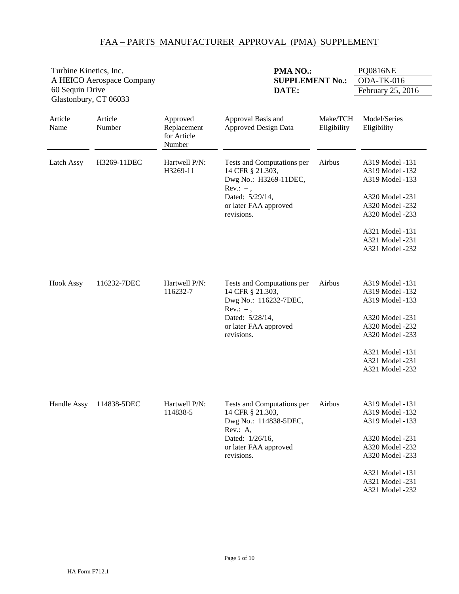| Turbine Kinetics, Inc.                   |                           |                                                  | PMA NO.:                                                                                                                                         |                         |                                                                                                                                                                         |
|------------------------------------------|---------------------------|--------------------------------------------------|--------------------------------------------------------------------------------------------------------------------------------------------------|-------------------------|-------------------------------------------------------------------------------------------------------------------------------------------------------------------------|
|                                          | A HEICO Aerospace Company |                                                  | <b>SUPPLEMENT No.:</b>                                                                                                                           |                         | ODA-TK-016                                                                                                                                                              |
| 60 Sequin Drive<br>Glastonbury, CT 06033 |                           |                                                  | DATE:                                                                                                                                            |                         | February 25, 2016                                                                                                                                                       |
| Article<br>Name                          | Article<br>Number         | Approved<br>Replacement<br>for Article<br>Number | Approval Basis and<br><b>Approved Design Data</b>                                                                                                | Make/TCH<br>Eligibility | Model/Series<br>Eligibility                                                                                                                                             |
| Latch Assy                               | H3269-11DEC               | Hartwell P/N:<br>H3269-11                        | Tests and Computations per<br>14 CFR § 21.303,<br>Dwg No.: H3269-11DEC,<br>$Rev.: -$ ,<br>Dated: 5/29/14,<br>or later FAA approved<br>revisions. | Airbus                  | A319 Model -131<br>A319 Model -132<br>A319 Model -133<br>A320 Model -231<br>A320 Model -232<br>A320 Model -233<br>A321 Model -131<br>A321 Model -231<br>A321 Model -232 |
| <b>Hook Assy</b>                         | 116232-7DEC               | Hartwell P/N:<br>116232-7                        | Tests and Computations per<br>14 CFR § 21.303,<br>Dwg No.: 116232-7DEC,<br>$Rev.: -$ ,<br>Dated: 5/28/14,<br>or later FAA approved<br>revisions. | Airbus                  | A319 Model -131<br>A319 Model -132<br>A319 Model -133<br>A320 Model -231<br>A320 Model -232<br>A320 Model -233<br>A321 Model -131<br>A321 Model -231<br>A321 Model -232 |
| Handle Assy                              | 114838-5DEC               | Hartwell P/N:<br>114838-5                        | Tests and Computations per<br>14 CFR § 21.303,<br>Dwg No.: 114838-5DEC,<br>Rev.: A,<br>Dated: 1/26/16,<br>or later FAA approved<br>revisions.    | Airbus                  | A319 Model -131<br>A319 Model -132<br>A319 Model -133<br>A320 Model -231<br>A320 Model -232<br>A320 Model -233<br>A321 Model -131<br>A321 Model -231<br>A321 Model -232 |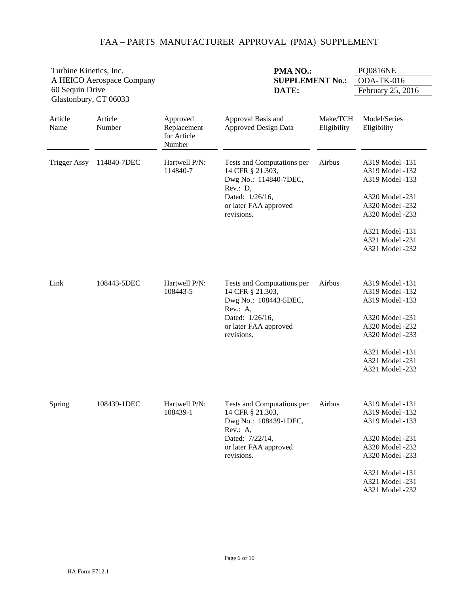| Turbine Kinetics, Inc.                   |                   |                                                  | PMA NO.:                                                                                                                                      |                         | <b>PQ0816NE</b>                                                                                                                                                         |
|------------------------------------------|-------------------|--------------------------------------------------|-----------------------------------------------------------------------------------------------------------------------------------------------|-------------------------|-------------------------------------------------------------------------------------------------------------------------------------------------------------------------|
| A HEICO Aerospace Company                |                   |                                                  | <b>SUPPLEMENT No.:</b>                                                                                                                        |                         | ODA-TK-016                                                                                                                                                              |
| 60 Sequin Drive<br>Glastonbury, CT 06033 |                   |                                                  | DATE:                                                                                                                                         |                         | February 25, 2016                                                                                                                                                       |
| Article<br>Name                          | Article<br>Number | Approved<br>Replacement<br>for Article<br>Number | Approval Basis and<br><b>Approved Design Data</b>                                                                                             | Make/TCH<br>Eligibility | Model/Series<br>Eligibility                                                                                                                                             |
| <b>Trigger Assy</b>                      | 114840-7DEC       | Hartwell P/N:<br>114840-7                        | Tests and Computations per<br>14 CFR § 21.303,<br>Dwg No.: 114840-7DEC,<br>Rev.: D,<br>Dated: 1/26/16,<br>or later FAA approved<br>revisions. | Airbus                  | A319 Model -131<br>A319 Model -132<br>A319 Model -133<br>A320 Model -231<br>A320 Model -232<br>A320 Model -233<br>A321 Model -131<br>A321 Model -231<br>A321 Model -232 |
| Link                                     | 108443-5DEC       | Hartwell P/N:<br>108443-5                        | Tests and Computations per<br>14 CFR § 21.303,<br>Dwg No.: 108443-5DEC,<br>Rev.: A,<br>Dated: 1/26/16,<br>or later FAA approved<br>revisions. | Airbus                  | A319 Model -131<br>A319 Model -132<br>A319 Model -133<br>A320 Model -231<br>A320 Model -232<br>A320 Model -233<br>A321 Model -131<br>A321 Model -231<br>A321 Model -232 |
| Spring                                   | 108439-1DEC       | Hartwell P/N:<br>108439-1                        | Tests and Computations per<br>14 CFR § 21.303,<br>Dwg No.: 108439-1DEC,<br>Rev.: A,<br>Dated: 7/22/14,<br>or later FAA approved<br>revisions. | Airbus                  | A319 Model -131<br>A319 Model -132<br>A319 Model -133<br>A320 Model -231<br>A320 Model -232<br>A320 Model -233<br>A321 Model -131<br>A321 Model -231<br>A321 Model -232 |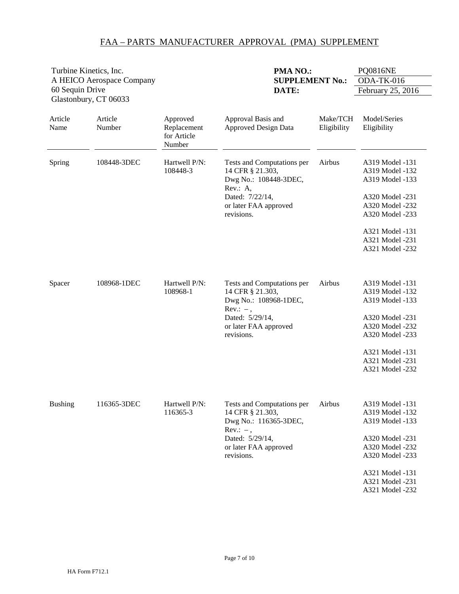| Turbine Kinetics, Inc.    |                       |                                                  | PMA NO.:                                                                                                                                         |                         | <b>PQ0816NE</b>                                                                                                                                                         |
|---------------------------|-----------------------|--------------------------------------------------|--------------------------------------------------------------------------------------------------------------------------------------------------|-------------------------|-------------------------------------------------------------------------------------------------------------------------------------------------------------------------|
| A HEICO Aerospace Company |                       | <b>SUPPLEMENT No.:</b>                           |                                                                                                                                                  | ODA-TK-016              |                                                                                                                                                                         |
| 60 Sequin Drive           | Glastonbury, CT 06033 |                                                  | DATE:                                                                                                                                            |                         | February 25, 2016                                                                                                                                                       |
| Article<br>Name           | Article<br>Number     | Approved<br>Replacement<br>for Article<br>Number | Approval Basis and<br><b>Approved Design Data</b>                                                                                                | Make/TCH<br>Eligibility | Model/Series<br>Eligibility                                                                                                                                             |
| Spring                    | 108448-3DEC           | Hartwell P/N:<br>108448-3                        | Tests and Computations per<br>14 CFR § 21.303,<br>Dwg No.: 108448-3DEC,<br>Rev.: A,<br>Dated: 7/22/14,<br>or later FAA approved<br>revisions.    | Airbus                  | A319 Model -131<br>A319 Model -132<br>A319 Model -133<br>A320 Model -231<br>A320 Model -232<br>A320 Model -233<br>A321 Model -131<br>A321 Model -231<br>A321 Model -232 |
| Spacer                    | 108968-1DEC           | Hartwell P/N:<br>108968-1                        | Tests and Computations per<br>14 CFR § 21.303,<br>Dwg No.: 108968-1DEC,<br>$Rev.: -$ ,<br>Dated: 5/29/14,<br>or later FAA approved<br>revisions. | Airbus                  | A319 Model -131<br>A319 Model -132<br>A319 Model -133<br>A320 Model -231<br>A320 Model -232<br>A320 Model -233<br>A321 Model -131<br>A321 Model -231<br>A321 Model -232 |
| <b>Bushing</b>            | 116365-3DEC           | Hartwell P/N:<br>116365-3                        | Tests and Computations per<br>14 CFR § 21.303,<br>Dwg No.: 116365-3DEC,<br>$Rev.: -$ ,<br>Dated: 5/29/14,<br>or later FAA approved<br>revisions. | Airbus                  | A319 Model -131<br>A319 Model -132<br>A319 Model -133<br>A320 Model -231<br>A320 Model -232<br>A320 Model -233<br>A321 Model -131<br>A321 Model -231<br>A321 Model -232 |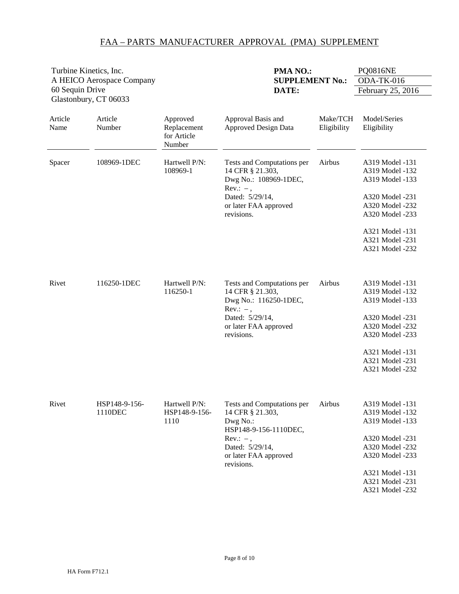| Turbine Kinetics, Inc.                   |                          |                                                  | PMA NO.:                                                                                                                                                    |                         | <b>PQ0816NE</b>                                                                                                                                                         |
|------------------------------------------|--------------------------|--------------------------------------------------|-------------------------------------------------------------------------------------------------------------------------------------------------------------|-------------------------|-------------------------------------------------------------------------------------------------------------------------------------------------------------------------|
| A HEICO Aerospace Company                |                          |                                                  | <b>SUPPLEMENT No.:</b>                                                                                                                                      |                         | ODA-TK-016                                                                                                                                                              |
| 60 Sequin Drive<br>Glastonbury, CT 06033 |                          |                                                  | DATE:                                                                                                                                                       |                         | February 25, 2016                                                                                                                                                       |
| Article<br>Name                          | Article<br>Number        | Approved<br>Replacement<br>for Article<br>Number | Approval Basis and<br><b>Approved Design Data</b>                                                                                                           | Make/TCH<br>Eligibility | Model/Series<br>Eligibility                                                                                                                                             |
| Spacer                                   | 108969-1DEC              | Hartwell P/N:<br>108969-1                        | Tests and Computations per<br>14 CFR § 21.303,<br>Dwg No.: 108969-1DEC,<br>$Rev.: -$ ,<br>Dated: 5/29/14,<br>or later FAA approved<br>revisions.            | Airbus                  | A319 Model -131<br>A319 Model -132<br>A319 Model -133<br>A320 Model -231<br>A320 Model -232<br>A320 Model -233<br>A321 Model -131<br>A321 Model -231<br>A321 Model -232 |
| Rivet                                    | 116250-1DEC              | Hartwell P/N:<br>116250-1                        | Tests and Computations per<br>14 CFR § 21.303,<br>Dwg No.: 116250-1DEC,<br>$Rev.: -$ ,<br>Dated: 5/29/14,<br>or later FAA approved<br>revisions.            | Airbus                  | A319 Model -131<br>A319 Model -132<br>A319 Model -133<br>A320 Model -231<br>A320 Model -232<br>A320 Model -233<br>A321 Model -131<br>A321 Model -231<br>A321 Model -232 |
| Rivet                                    | HSP148-9-156-<br>1110DEC | Hartwell P/N:<br>HSP148-9-156-<br>1110           | Tests and Computations per<br>14 CFR § 21.303,<br>Dwg No.:<br>HSP148-9-156-1110DEC,<br>$Rev: -$ ,<br>Dated: 5/29/14,<br>or later FAA approved<br>revisions. | Airbus                  | A319 Model -131<br>A319 Model -132<br>A319 Model -133<br>A320 Model -231<br>A320 Model -232<br>A320 Model -233<br>A321 Model -131<br>A321 Model -231<br>A321 Model -232 |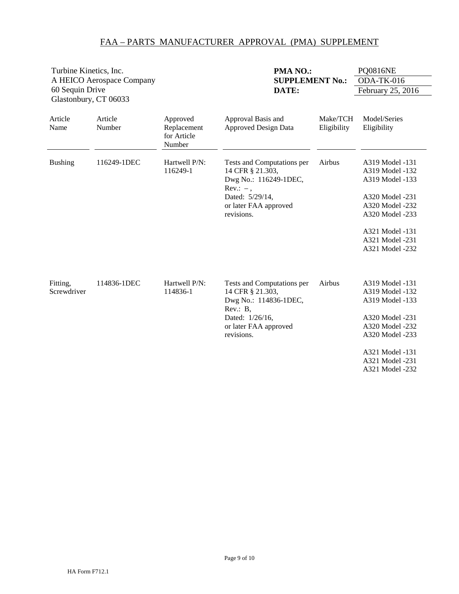| Turbine Kinetics, Inc. |                           |                                                  | PMA NO.:                                                                              |                         | <b>PQ0816NE</b>                                       |
|------------------------|---------------------------|--------------------------------------------------|---------------------------------------------------------------------------------------|-------------------------|-------------------------------------------------------|
|                        | A HEICO Aerospace Company |                                                  | <b>SUPPLEMENT No.:</b>                                                                |                         | ODA-TK-016                                            |
| 60 Sequin Drive        |                           |                                                  | DATE:                                                                                 |                         | February 25, 2016                                     |
| Glastonbury, CT 06033  |                           |                                                  |                                                                                       |                         |                                                       |
| Article<br>Name        | Article<br>Number         | Approved<br>Replacement<br>for Article<br>Number | Approval Basis and<br><b>Approved Design Data</b>                                     | Make/TCH<br>Eligibility | Model/Series<br>Eligibility                           |
| <b>Bushing</b>         | 116249-1DEC               | Hartwell P/N:<br>116249-1                        | Tests and Computations per<br>14 CFR § 21.303,<br>Dwg No.: 116249-1DEC,<br>$Rev: -$ , | Airbus                  | A319 Model -131<br>A319 Model -132<br>A319 Model -133 |
|                        |                           |                                                  | Dated: 5/29/14,                                                                       |                         | A320 Model -231                                       |
|                        |                           |                                                  | or later FAA approved                                                                 |                         | A320 Model -232                                       |
|                        |                           |                                                  | revisions.                                                                            |                         | A320 Model -233                                       |
|                        |                           |                                                  |                                                                                       |                         | A321 Model -131                                       |
|                        |                           |                                                  |                                                                                       |                         | A321 Model -231                                       |
|                        |                           |                                                  |                                                                                       |                         | A321 Model -232                                       |
| Fitting,               | 114836-1DEC               | Hartwell P/N:                                    | Tests and Computations per                                                            | Airbus                  | A319 Model -131                                       |
| Screwdriver            |                           | 114836-1                                         | 14 CFR § 21.303,                                                                      |                         | A319 Model -132                                       |
|                        |                           |                                                  | Dwg No.: 114836-1DEC,<br>Rev.: B,                                                     |                         | A319 Model -133                                       |
|                        |                           |                                                  | Dated: 1/26/16,                                                                       |                         | A320 Model -231                                       |
|                        |                           |                                                  | or later FAA approved                                                                 |                         | A320 Model -232                                       |
|                        |                           |                                                  | revisions.                                                                            |                         | A320 Model -233                                       |
|                        |                           |                                                  |                                                                                       |                         | A321 Model -131                                       |
|                        |                           |                                                  |                                                                                       |                         | A321 Model -231                                       |
|                        |                           |                                                  |                                                                                       |                         | A321 Model -232                                       |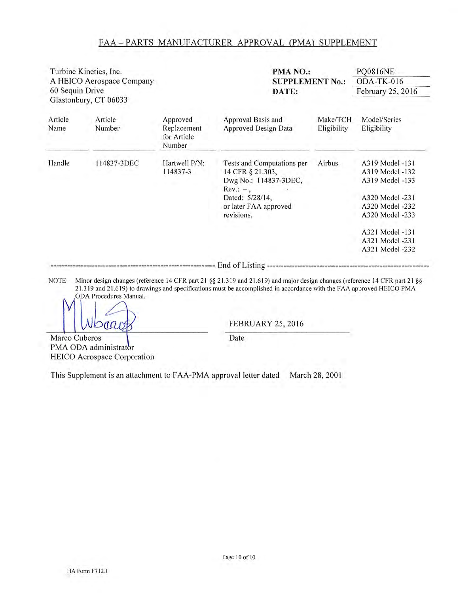|                 | Turbine Kinetics, Inc.<br>A HEICO Aerospace Company |                                                  | PMA NO.:<br><b>SUPPLEMENT No.:</b>                                                                                                              |                         | <b>PQ0816NE</b><br>ODA-TK-016                                                                                                                        |
|-----------------|-----------------------------------------------------|--------------------------------------------------|-------------------------------------------------------------------------------------------------------------------------------------------------|-------------------------|------------------------------------------------------------------------------------------------------------------------------------------------------|
| 60 Sequin Drive | Glastonbury, CT 06033                               |                                                  | DATE:                                                                                                                                           |                         | February 25, 2016                                                                                                                                    |
| Article<br>Name | Article<br>Number                                   | Approved<br>Replacement<br>for Article<br>Number | Approval Basis and<br>Approved Design Data                                                                                                      | Make/TCH<br>Eligibility | Model/Series<br>Eligibility                                                                                                                          |
| Handle          | 114837-3DEC                                         | Hartwell P/N:<br>114837-3                        | Tests and Computations per<br>14 CFR § 21.303,<br>Dwg No.: 114837-3DEC,<br>$Rev: -$ ,<br>Dated: 5/28/14,<br>or later FAA approved<br>revisions. | Airbus                  | A319 Model -131<br>A319 Model -132<br>A319 Model -133<br>A320 Model -231<br>A320 Model -232<br>A320 Model -233<br>A321 Model -131<br>A321 Model -231 |
|                 |                                                     |                                                  | --------------------------- End of Listing --                                                                                                   |                         | A321 Model -232                                                                                                                                      |

NOTE: Minor design changes (reference 14 CFR part 21 §§ 21.319 and 21.619) and major design changes (reference 14 CFR part 21 §§ 21.319 and 21.619) to drawings and specifications must be accomplished in accordance with the FAA approved HEICO PMA ODA Procedures Manual.

 $Data$ 

Marco Cuberos PMA ODA administrator HEICO Aerospace Corporation **FEBRUARY 25, 2016** 

Date

This Supplement is an attachment to FAA-PMA approval letter dated March 28, 2001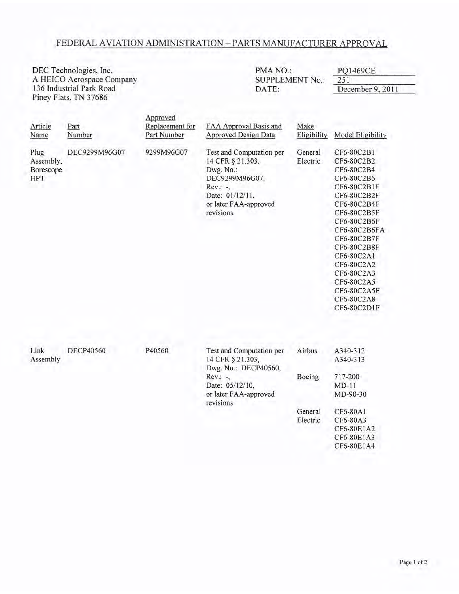#### FEDERAL AVIATION ADMINISTRATION - PARTS MANUFACTURER APPROVAL

PMA NO.: DEC Technologies, Inc. **PQ1469CE** A HEICO Aerospace Company **SUPPLEMENT No.:** 251 136 Industrial Park Road DATE: December 9, 2011 Piney Flats, TN 37686 Approved Replacement for Article Part FAA Approval Basis and Make Name Number Part Number Approved Design Data Eligibility Model Eligibility Plug DEC9299M96G07 9299M96G07 Test and Computation per General CF6-80C2B1 Assembly, 14 CFR § 21.303, Electric CF6-80C2B2 Borescope Dwg. No.: CF6-80C2B4 HPT DEC9299M96G07, CF6-80C2B6 CF6-80C2B1F Rev.: -, Date: 01/12/11, CF6-80C2B2F or later FAA-approved CF6-80C2B4F revisions CF6-80C2B5F CF6-80C2B6F CF6-80C2B6FA CF6-80C2B7F CF6-80C2B8F CF6-80C2A1 CF6-80C2A2 CF6-80C2A3 CF6-80C2A5 CF6-80C2A5F CF6-80C2A8 CF6-80C2D1F Link **DECP40560** P40560 Test and Computation per Airbus A340-312 14 CFR § 21.303, Assembly A340-313 Dwg. No.: DECP40560, Rev.: -, Boeing 717-200 Date: 05/12/10,  $MD-11$ or later FAA-approved MD-90-30 revisions General CF6-80A1 Electric CF6-80A3 CF6-80E1A2 CF6-80E1A3 CF6-80EIA4